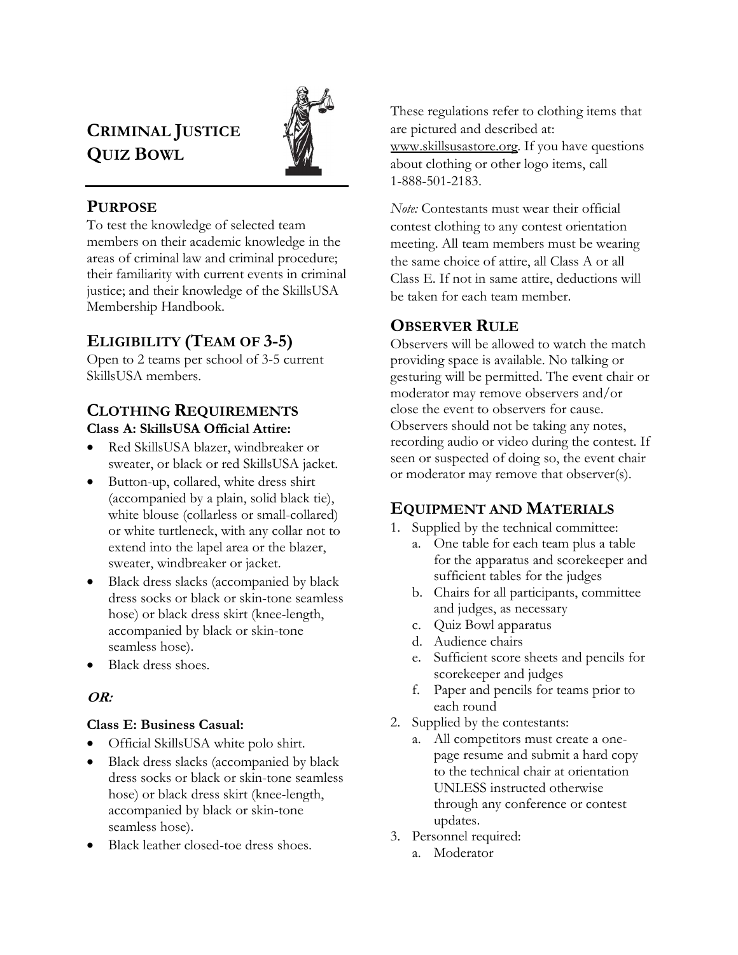# CRIMINAL JUSTICE QUIZ BOWL



## **PURPOSE**

To test the knowledge of selected team members on their academic knowledge in the areas of criminal law and criminal procedure; their familiarity with current events in criminal justice; and their knowledge of the SkillsUSA Membership Handbook.

## ELIGIBILITY (TEAM OF 3-5)

Open to 2 teams per school of 3-5 current SkillsUSA members.

## CLOTHING REQUIREMENTS Class A: SkillsUSA Official Attire:

- Red SkillsUSA blazer, windbreaker or sweater, or black or red SkillsUSA jacket.
- Button-up, collared, white dress shirt (accompanied by a plain, solid black tie), white blouse (collarless or small-collared) or white turtleneck, with any collar not to extend into the lapel area or the blazer, sweater, windbreaker or jacket.
- Black dress slacks (accompanied by black dress socks or black or skin-tone seamless hose) or black dress skirt (knee-length, accompanied by black or skin-tone seamless hose).
- Black dress shoes.

## OR:

## Class E: Business Casual:

- Official SkillsUSA white polo shirt.
- Black dress slacks (accompanied by black dress socks or black or skin-tone seamless hose) or black dress skirt (knee-length, accompanied by black or skin-tone seamless hose).
- Black leather closed-toe dress shoes.

These regulations refer to clothing items that are pictured and described at: www.skillsusastore.org. If you have questions about clothing or other logo items, call 1-888-501-2183.

Note: Contestants must wear their official contest clothing to any contest orientation meeting. All team members must be wearing the same choice of attire, all Class A or all Class E. If not in same attire, deductions will be taken for each team member.

## OBSERVER RULE

Observers will be allowed to watch the match providing space is available. No talking or gesturing will be permitted. The event chair or moderator may remove observers and/or close the event to observers for cause. Observers should not be taking any notes, recording audio or video during the contest. If seen or suspected of doing so, the event chair or moderator may remove that observer(s).

## EQUIPMENT AND MATERIALS

- 1. Supplied by the technical committee:
	- a. One table for each team plus a table for the apparatus and scorekeeper and sufficient tables for the judges
	- b. Chairs for all participants, committee and judges, as necessary
	- c. Quiz Bowl apparatus
	- d. Audience chairs
	- e. Sufficient score sheets and pencils for scorekeeper and judges
	- f. Paper and pencils for teams prior to each round
- 2. Supplied by the contestants:
	- a. All competitors must create a onepage resume and submit a hard copy to the technical chair at orientation UNLESS instructed otherwise through any conference or contest updates.
- 3. Personnel required:
	- a. Moderator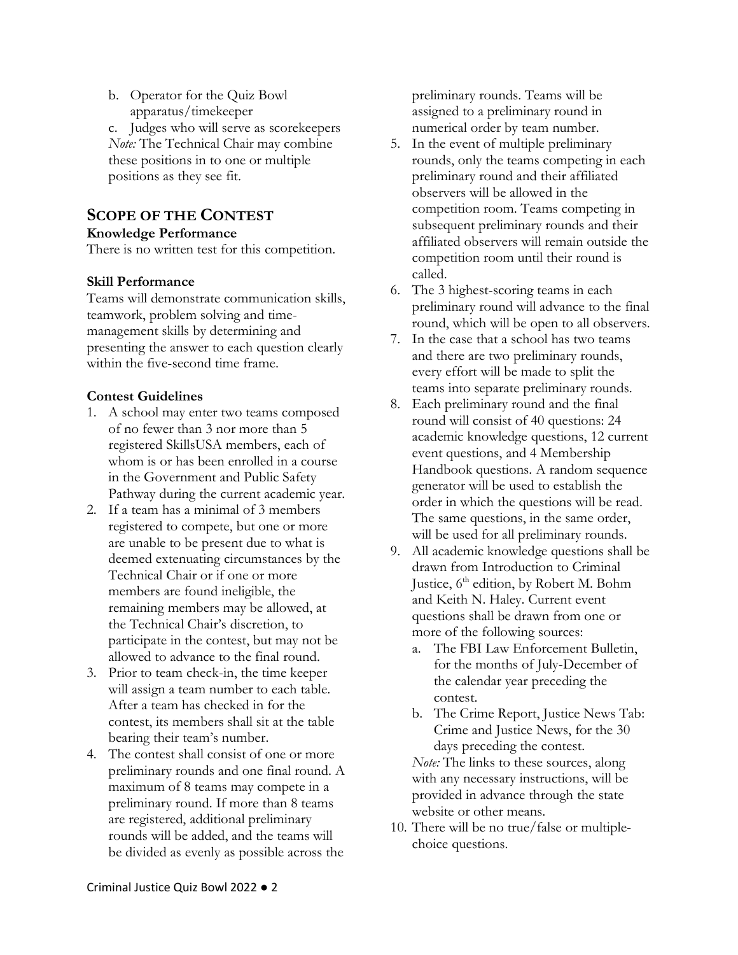b. Operator for the Quiz Bowl apparatus/timekeeper

c. Judges who will serve as scorekeepers Note: The Technical Chair may combine these positions in to one or multiple positions as they see fit.

## SCOPE OF THE CONTEST

#### Knowledge Performance

There is no written test for this competition.

#### Skill Performance

Teams will demonstrate communication skills, teamwork, problem solving and timemanagement skills by determining and presenting the answer to each question clearly within the five-second time frame.

#### Contest Guidelines

- 1. A school may enter two teams composed of no fewer than 3 nor more than 5 registered SkillsUSA members, each of whom is or has been enrolled in a course in the Government and Public Safety Pathway during the current academic year.
- 2. If a team has a minimal of 3 members registered to compete, but one or more are unable to be present due to what is deemed extenuating circumstances by the Technical Chair or if one or more members are found ineligible, the remaining members may be allowed, at the Technical Chair's discretion, to participate in the contest, but may not be allowed to advance to the final round.
- 3. Prior to team check-in, the time keeper will assign a team number to each table. After a team has checked in for the contest, its members shall sit at the table bearing their team's number.
- 4. The contest shall consist of one or more preliminary rounds and one final round. A maximum of 8 teams may compete in a preliminary round. If more than 8 teams are registered, additional preliminary rounds will be added, and the teams will be divided as evenly as possible across the

preliminary rounds. Teams will be assigned to a preliminary round in numerical order by team number.

- 5. In the event of multiple preliminary rounds, only the teams competing in each preliminary round and their affiliated observers will be allowed in the competition room. Teams competing in subsequent preliminary rounds and their affiliated observers will remain outside the competition room until their round is called.
- 6. The 3 highest-scoring teams in each preliminary round will advance to the final round, which will be open to all observers.
- 7. In the case that a school has two teams and there are two preliminary rounds, every effort will be made to split the teams into separate preliminary rounds.
- 8. Each preliminary round and the final round will consist of 40 questions: 24 academic knowledge questions, 12 current event questions, and 4 Membership Handbook questions. A random sequence generator will be used to establish the order in which the questions will be read. The same questions, in the same order, will be used for all preliminary rounds.
- 9. All academic knowledge questions shall be drawn from Introduction to Criminal Justice, 6<sup>th</sup> edition, by Robert M. Bohm and Keith N. Haley. Current event questions shall be drawn from one or more of the following sources:
	- a. The FBI Law Enforcement Bulletin, for the months of July-December of the calendar year preceding the contest.
	- b. The Crime Report, Justice News Tab: Crime and Justice News, for the 30 days preceding the contest.

Note: The links to these sources, along with any necessary instructions, will be provided in advance through the state website or other means.

10. There will be no true/false or multiplechoice questions.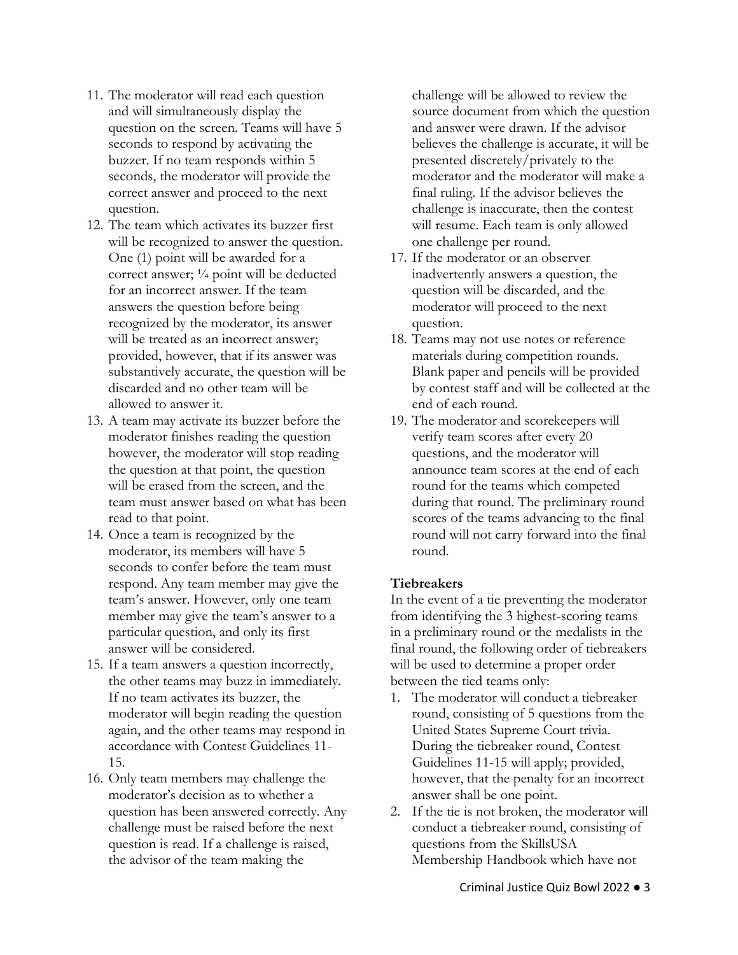- 11. The moderator will read each question and will simultaneously display the question on the screen. Teams will have 5 seconds to respond by activating the buzzer. If no team responds within 5 seconds, the moderator will provide the correct answer and proceed to the next question.
- 12. The team which activates its buzzer first will be recognized to answer the question. One (1) point will be awarded for a correct answer; ¼ point will be deducted for an incorrect answer. If the team answers the question before being recognized by the moderator, its answer will be treated as an incorrect answer; provided, however, that if its answer was substantively accurate, the question will be discarded and no other team will be allowed to answer it.
- 13. A team may activate its buzzer before the moderator finishes reading the question however, the moderator will stop reading the question at that point, the question will be erased from the screen, and the team must answer based on what has been read to that point.
- 14. Once a team is recognized by the moderator, its members will have 5 seconds to confer before the team must respond. Any team member may give the team's answer. However, only one team member may give the team's answer to a particular question, and only its first answer will be considered.
- 15. If a team answers a question incorrectly, the other teams may buzz in immediately. If no team activates its buzzer, the moderator will begin reading the question again, and the other teams may respond in accordance with Contest Guidelines 11- 15.
- 16. Only team members may challenge the moderator's decision as to whether a question has been answered correctly. Any challenge must be raised before the next question is read. If a challenge is raised, the advisor of the team making the

challenge will be allowed to review the source document from which the question and answer were drawn. If the advisor believes the challenge is accurate, it will be presented discretely/privately to the moderator and the moderator will make a final ruling. If the advisor believes the challenge is inaccurate, then the contest will resume. Each team is only allowed one challenge per round.

- 17. If the moderator or an observer inadvertently answers a question, the question will be discarded, and the moderator will proceed to the next question.
- 18. Teams may not use notes or reference materials during competition rounds. Blank paper and pencils will be provided by contest staff and will be collected at the end of each round.
- 19. The moderator and scorekeepers will verify team scores after every 20 questions, and the moderator will announce team scores at the end of each round for the teams which competed during that round. The preliminary round scores of the teams advancing to the final round will not carry forward into the final round.

## **Tiebreakers**

In the event of a tie preventing the moderator from identifying the 3 highest-scoring teams in a preliminary round or the medalists in the final round, the following order of tiebreakers will be used to determine a proper order between the tied teams only:

- 1. The moderator will conduct a tiebreaker round, consisting of 5 questions from the United States Supreme Court trivia. During the tiebreaker round, Contest Guidelines 11-15 will apply; provided, however, that the penalty for an incorrect answer shall be one point.
- 2. If the tie is not broken, the moderator will conduct a tiebreaker round, consisting of questions from the SkillsUSA Membership Handbook which have not